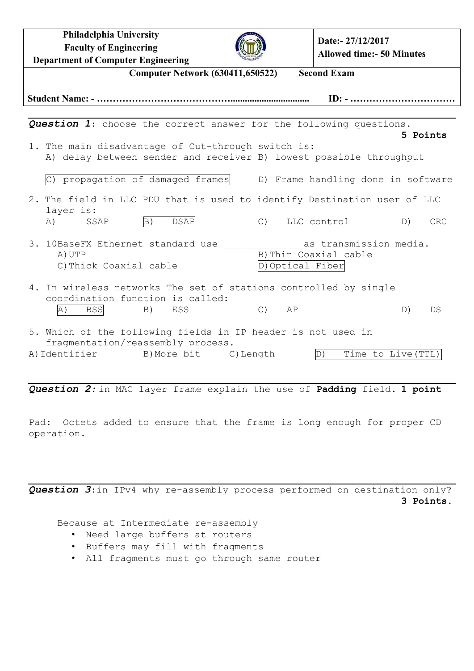**Philadelphia University Faculty of Engineering Department of Computer Engineering**

**Date:- 27/12/2017 Allowed time:- 50 Minutes**

| <b>Computer Network (630411,650522)</b>                                                                                                       | <b>Second Exam</b>                        |                                                                        |
|-----------------------------------------------------------------------------------------------------------------------------------------------|-------------------------------------------|------------------------------------------------------------------------|
|                                                                                                                                               |                                           | $ID: - \ldots \ldots \ldots \ldots \ldots \ldots \ldots \ldots \ldots$ |
|                                                                                                                                               |                                           |                                                                        |
| <b>Question 1:</b> choose the correct answer for the following questions.                                                                     |                                           | 5 Points                                                               |
| 1. The main disadvantage of Cut-through switch is:<br>A) delay between sender and receiver B) lowest possible throughput                      |                                           |                                                                        |
| propagation of damaged frames                                                                                                                 |                                           | D) Frame handling done in software                                     |
| 2. The field in LLC PDU that is used to identify Destination user of LLC<br>layer is:                                                         |                                           |                                                                        |
| <b>DSAP</b><br>B)<br>A)<br>SSAP                                                                                                               | C) LLC control                            | D)<br>CRC                                                              |
| 3. 10BaseFX Ethernet standard use<br>A) UTP<br>C) Thick Coaxial cable                                                                         | B) Thin Coaxial cable<br>D) Optical Fiber | as transmission media.                                                 |
| 4. In wireless networks The set of stations controlled by single<br>coordination function is called:<br>A)<br><b>BSS</b><br><b>B</b> )<br>ESS | $C)$ $AP$                                 | D)<br>DS                                                               |
| 5. Which of the following fields in IP header is not used in<br>fragmentation/reassembly process.                                             |                                           |                                                                        |
| A) Identifier B) More bit C) Length                                                                                                           | D)                                        | Time to Live (TTL)                                                     |
| Question 2: in MAC layer frame explain the use of Padding field. 1 point                                                                      |                                           |                                                                        |

Pad: Octets added to ensure that the frame is long enough for proper CD operation.

*Question 3*:in IPv4 why re-assembly process performed on destination only? **3 Points.**

Because at Intermediate re-assembly

- Need large buffers at routers
- Buffers may fill with fragments
- All fragments must go through same router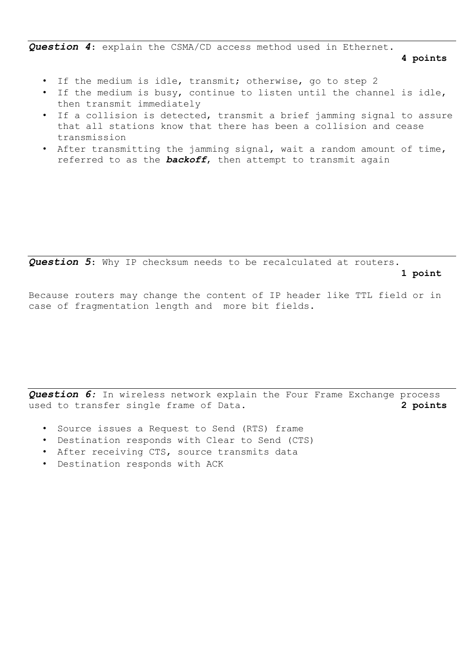*Question 4*: explain the CSMA/CD access method used in Ethernet.

**4 points**

- If the medium is idle, transmit; otherwise, go to step 2
- If the medium is busy, continue to listen until the channel is idle, then transmit immediately
- If a collision is detected, transmit a brief jamming signal to assure that all stations know that there has been a collision and cease transmission
- After transmitting the jamming signal, wait a random amount of time, referred to as the *backoff*, then attempt to transmit again

*Question 5*: Why IP checksum needs to be recalculated at routers.

**1 point**

Because routers may change the content of IP header like TTL field or in case of fragmentation length and more bit fields.

*Question 6:* In wireless network explain the Four Frame Exchange process used to transfer single frame of Data. **2 points**

- Source issues a Request to Send (RTS) frame
- Destination responds with Clear to Send (CTS)
- After receiving CTS, source transmits data
- Destination responds with ACK